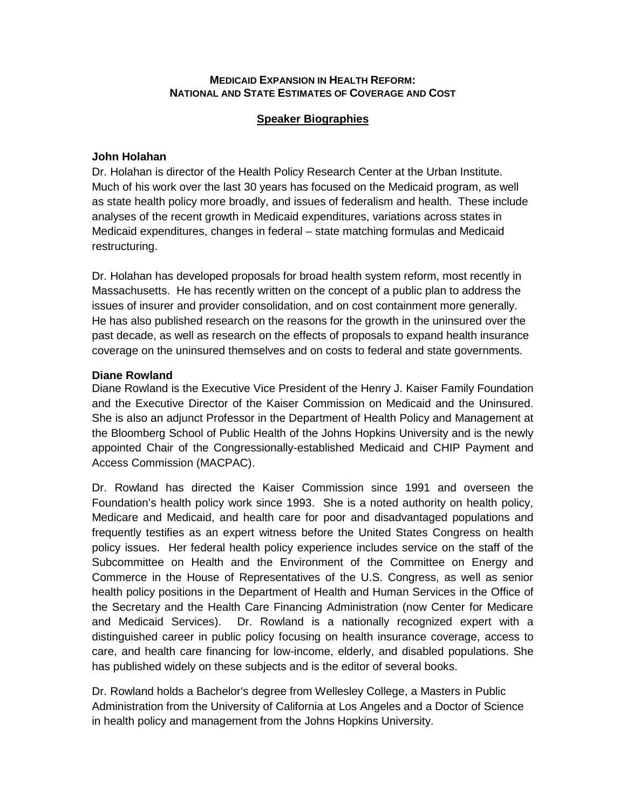#### **MEDICAID EXPANSION IN HEALTH REFORM: NATIONAL AND STATE ESTIMATES OF COVERAGE AND COST**

## **Speaker Biographies**

## **John Holahan**

Dr. Holahan is director of the Health Policy Research Center at the Urban Institute. Much of his work over the last 30 years has focused on the Medicaid program, as well as state health policy more broadly, and issues of federalism and health. These include analyses of the recent growth in Medicaid expenditures, variations across states in Medicaid expenditures, changes in federal – state matching formulas and Medicaid restructuring.

Dr. Holahan has developed proposals for broad health system reform, most recently in Massachusetts. He has recently written on the concept of a public plan to address the issues of insurer and provider consolidation, and on cost containment more generally. He has also published research on the reasons for the growth in the uninsured over the past decade, as well as research on the effects of proposals to expand health insurance coverage on the uninsured themselves and on costs to federal and state governments.

### **Diane Rowland**

Diane Rowland is the Executive Vice President of the Henry J. Kaiser Family Foundation and the Executive Director of the Kaiser Commission on Medicaid and the Uninsured. She is also an adjunct Professor in the Department of Health Policy and Management at the Bloomberg School of Public Health of the Johns Hopkins University and is the newly appointed Chair of the Congressionally-established Medicaid and CHIP Payment and Access Commission (MACPAC).

Dr. Rowland has directed the Kaiser Commission since 1991 and overseen the Foundation's health policy work since 1993. She is a noted authority on health policy, Medicare and Medicaid, and health care for poor and disadvantaged populations and frequently testifies as an expert witness before the United States Congress on health policy issues. Her federal health policy experience includes service on the staff of the Subcommittee on Health and the Environment of the Committee on Energy and Commerce in the House of Representatives of the U.S. Congress, as well as senior health policy positions in the Department of Health and Human Services in the Office of the Secretary and the Health Care Financing Administration (now Center for Medicare and Medicaid Services). Dr. Rowland is a nationally recognized expert with a distinguished career in public policy focusing on health insurance coverage, access to care, and health care financing for low-income, elderly, and disabled populations. She has published widely on these subjects and is the editor of several books.

Dr. Rowland holds a Bachelor's degree from Wellesley College, a Masters in Public Administration from the University of California at Los Angeles and a Doctor of Science in health policy and management from the Johns Hopkins University.